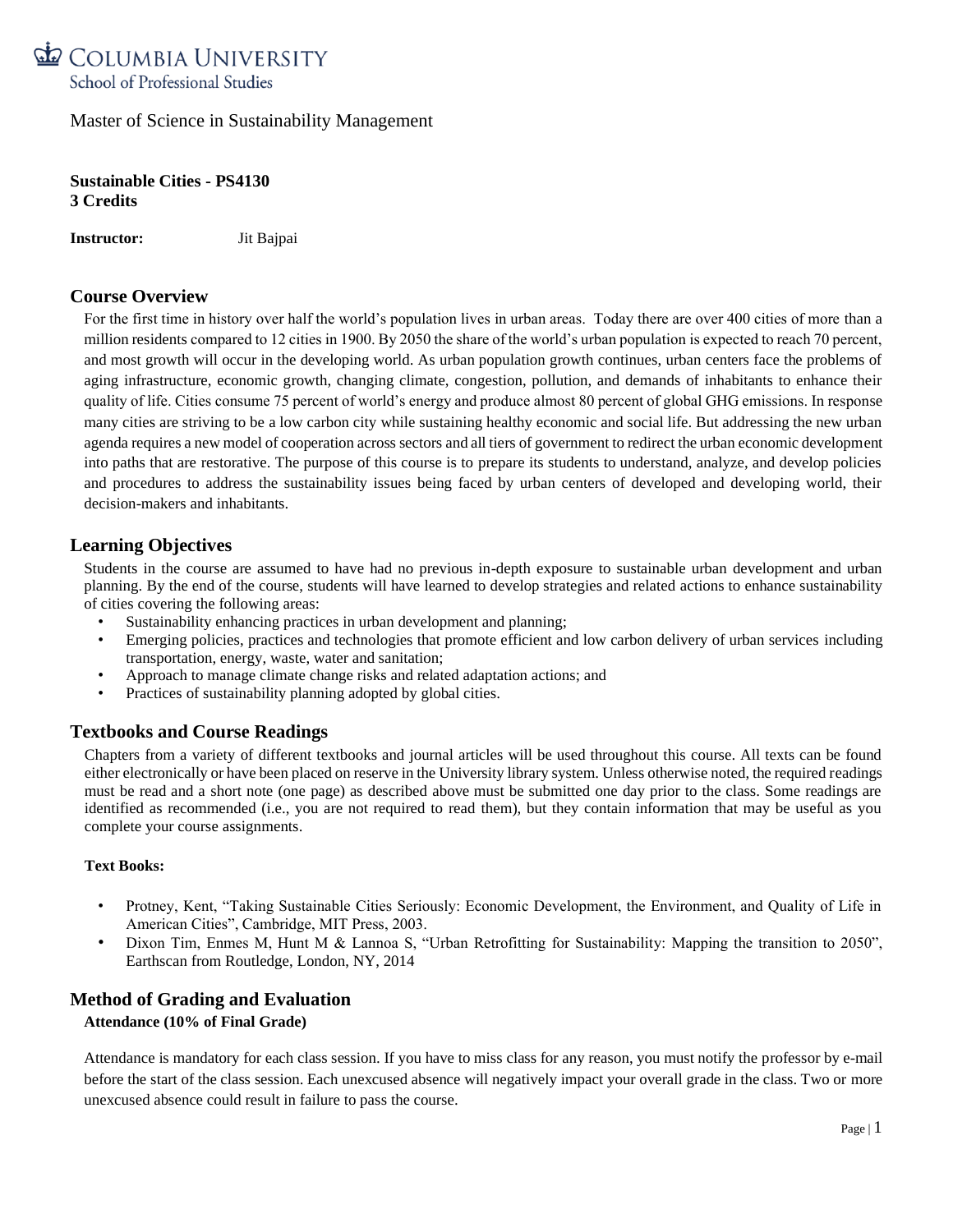

**Sustainable Cities - PS4130 3 Credits**

**Instructor:** Jit Bajpai

# **Course Overview**

For the first time in history over half the world's population lives in urban areas. Today there are over 400 cities of more than a million residents compared to 12 cities in 1900. By 2050 the share of the world's urban population is expected to reach 70 percent, and most growth will occur in the developing world. As urban population growth continues, urban centers face the problems of aging infrastructure, economic growth, changing climate, congestion, pollution, and demands of inhabitants to enhance their quality of life. Cities consume 75 percent of world's energy and produce almost 80 percent of global GHG emissions. In response many cities are striving to be a low carbon city while sustaining healthy economic and social life. But addressing the new urban agenda requires a new model of cooperation across sectors and all tiers of government to redirect the urban economic development into paths that are restorative. The purpose of this course is to prepare its students to understand, analyze, and develop policies and procedures to address the sustainability issues being faced by urban centers of developed and developing world, their decision-makers and inhabitants.

## **Learning Objectives**

Students in the course are assumed to have had no previous in-depth exposure to sustainable urban development and urban planning. By the end of the course, students will have learned to develop strategies and related actions to enhance sustainability of cities covering the following areas:

- Sustainability enhancing practices in urban development and planning;
- Emerging policies, practices and technologies that promote efficient and low carbon delivery of urban services including transportation, energy, waste, water and sanitation;
- Approach to manage climate change risks and related adaptation actions; and
- Practices of sustainability planning adopted by global cities.

## **Textbooks and Course Readings**

Chapters from a variety of different textbooks and journal articles will be used throughout this course. All texts can be found either electronically or have been placed on reserve in the University library system. Unless otherwise noted, the required readings must be read and a short note (one page) as described above must be submitted one day prior to the class. Some readings are identified as recommended (i.e., you are not required to read them), but they contain information that may be useful as you complete your course assignments.

### **Text Books:**

- Protney, Kent, "Taking Sustainable Cities Seriously: Economic Development, the Environment, and Quality of Life in American Cities", Cambridge, MIT Press, 2003.
- Dixon Tim, Enmes M, Hunt M & Lannoa S, "Urban Retrofitting for Sustainability: Mapping the transition to 2050", Earthscan from Routledge, London, NY, 2014

# **Method of Grading and Evaluation**

### **Attendance (10% of Final Grade)**

Attendance is mandatory for each class session. If you have to miss class for any reason, you must notify the professor by e-mail before the start of the class session. Each unexcused absence will negatively impact your overall grade in the class. Two or more unexcused absence could result in failure to pass the course.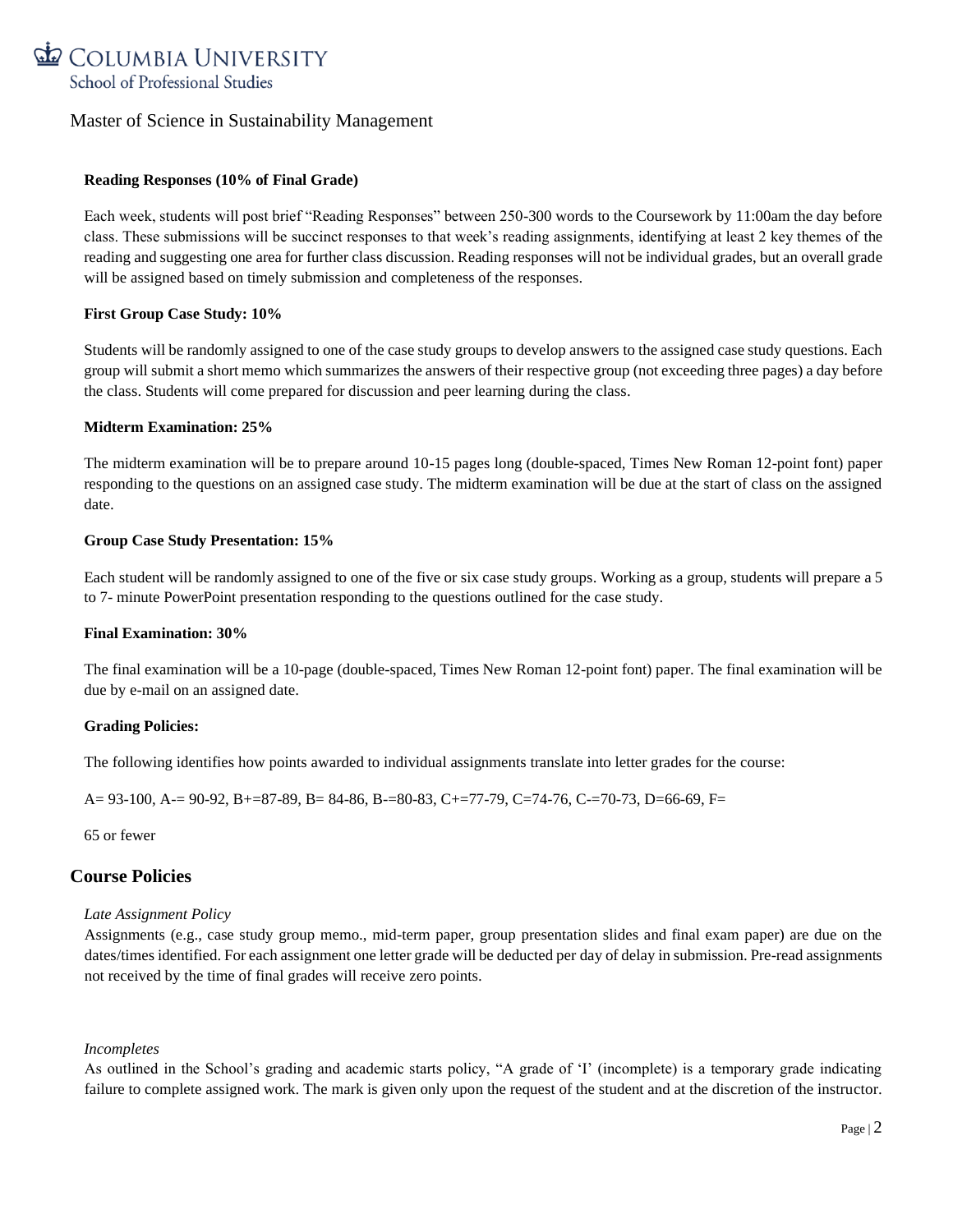

### **Reading Responses (10% of Final Grade)**

Each week, students will post brief "Reading Responses" between 250-300 words to the Coursework by 11:00am the day before class. These submissions will be succinct responses to that week's reading assignments, identifying at least 2 key themes of the reading and suggesting one area for further class discussion. Reading responses will not be individual grades, but an overall grade will be assigned based on timely submission and completeness of the responses.

### **First Group Case Study: 10%**

Students will be randomly assigned to one of the case study groups to develop answers to the assigned case study questions. Each group will submit a short memo which summarizes the answers of their respective group (not exceeding three pages) a day before the class. Students will come prepared for discussion and peer learning during the class.

#### **Midterm Examination: 25%**

The midterm examination will be to prepare around 10-15 pages long (double-spaced, Times New Roman 12-point font) paper responding to the questions on an assigned case study. The midterm examination will be due at the start of class on the assigned date.

#### **Group Case Study Presentation: 15%**

Each student will be randomly assigned to one of the five or six case study groups. Working as a group, students will prepare a 5 to 7- minute PowerPoint presentation responding to the questions outlined for the case study.

### **Final Examination: 30%**

The final examination will be a 10-page (double-spaced, Times New Roman 12-point font) paper. The final examination will be due by e-mail on an assigned date.

### **Grading Policies:**

The following identifies how points awarded to individual assignments translate into letter grades for the course:

A= 93-100, A-= 90-92, B+=87-89, B= 84-86, B-=80-83, C+=77-79, C=74-76, C-=70-73, D=66-69, F=

65 or fewer

## **Course Policies**

### *Late Assignment Policy*

Assignments (e.g., case study group memo., mid-term paper, group presentation slides and final exam paper) are due on the dates/times identified. For each assignment one letter grade will be deducted per day of delay in submission. Pre-read assignments not received by the time of final grades will receive zero points.

### *Incompletes*

As outlined in the School's grading and academic starts policy, "A grade of 'I' (incomplete) is a temporary grade indicating failure to complete assigned work. The mark is given only upon the request of the student and at the discretion of the instructor.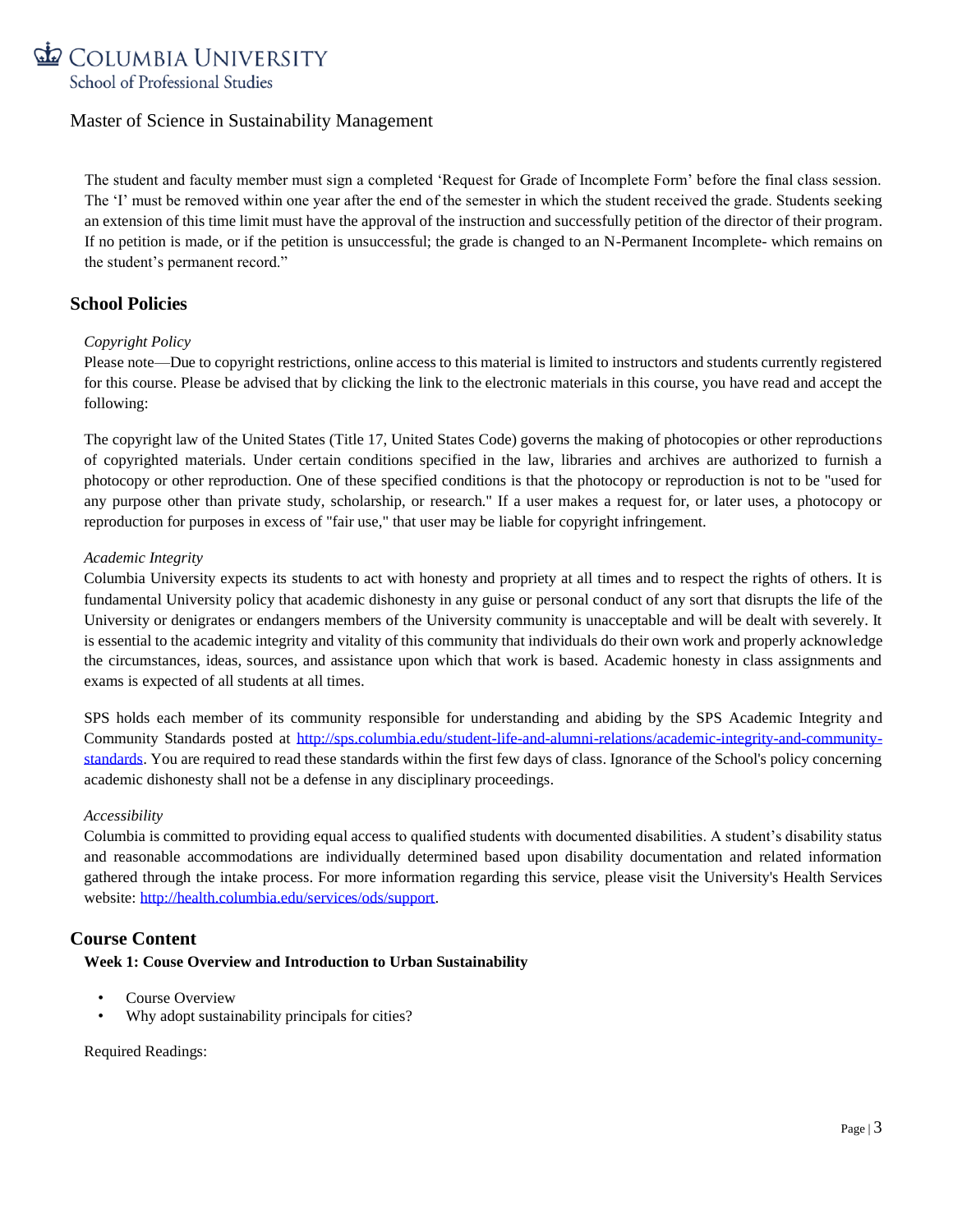The student and faculty member must sign a completed 'Request for Grade of Incomplete Form' before the final class session. The 'I' must be removed within one year after the end of the semester in which the student received the grade. Students seeking an extension of this time limit must have the approval of the instruction and successfully petition of the director of their program. If no petition is made, or if the petition is unsuccessful; the grade is changed to an N-Permanent Incomplete- which remains on the student's permanent record."

# **School Policies**

### *Copyright Policy*

Please note—Due to copyright restrictions, online access to this material is limited to instructors and students currently registered for this course. Please be advised that by clicking the link to the electronic materials in this course, you have read and accept the following:

The copyright law of the United States (Title 17, United States Code) governs the making of photocopies or other reproductions of copyrighted materials. Under certain conditions specified in the law, libraries and archives are authorized to furnish a photocopy or other reproduction. One of these specified conditions is that the photocopy or reproduction is not to be "used for any purpose other than private study, scholarship, or research." If a user makes a request for, or later uses, a photocopy or reproduction for purposes in excess of "fair use," that user may be liable for copyright infringement.

### *Academic Integrity*

Columbia University expects its students to act with honesty and propriety at all times and to respect the rights of others. It is fundamental University policy that academic dishonesty in any guise or personal conduct of any sort that disrupts the life of the University or denigrates or endangers members of the University community is unacceptable and will be dealt with severely. It is essential to the academic integrity and vitality of this community that individuals do their own work and properly acknowledge the circumstances, ideas, sources, and assistance upon which that work is based. Academic honesty in class assignments and exams is expected of all students at all times.

SPS holds each member of its community responsible for understanding and abiding by the SPS Academic Integrity and Community Standards posted at [http://sps.columbia.edu/student-life-and-alumni-relations/academic-integrity-and-community](http://sps.columbia.edu/student-life-and-alumni-relations/academic-integrity-and-community-standards)[standards.](http://sps.columbia.edu/student-life-and-alumni-relations/academic-integrity-and-community-standards) You are required to read these standards within the first few days of class. Ignorance of the School's policy concerning academic dishonesty shall not be a defense in any disciplinary proceedings.

### *Accessibility*

Columbia is committed to providing equal access to qualified students with documented disabilities. A student's disability status and reasonable accommodations are individually determined based upon disability documentation and related information gathered through the intake process. For more information regarding this service, please visit the University's Health Services website: [http://health.columbia.edu/services/ods/support.](http://health.columbia.edu/services/ods/support)

## **Course Content**

### **Week 1: Couse Overview and Introduction to Urban Sustainability**

- Course Overview
- Why adopt sustainability principals for cities?

Required Readings: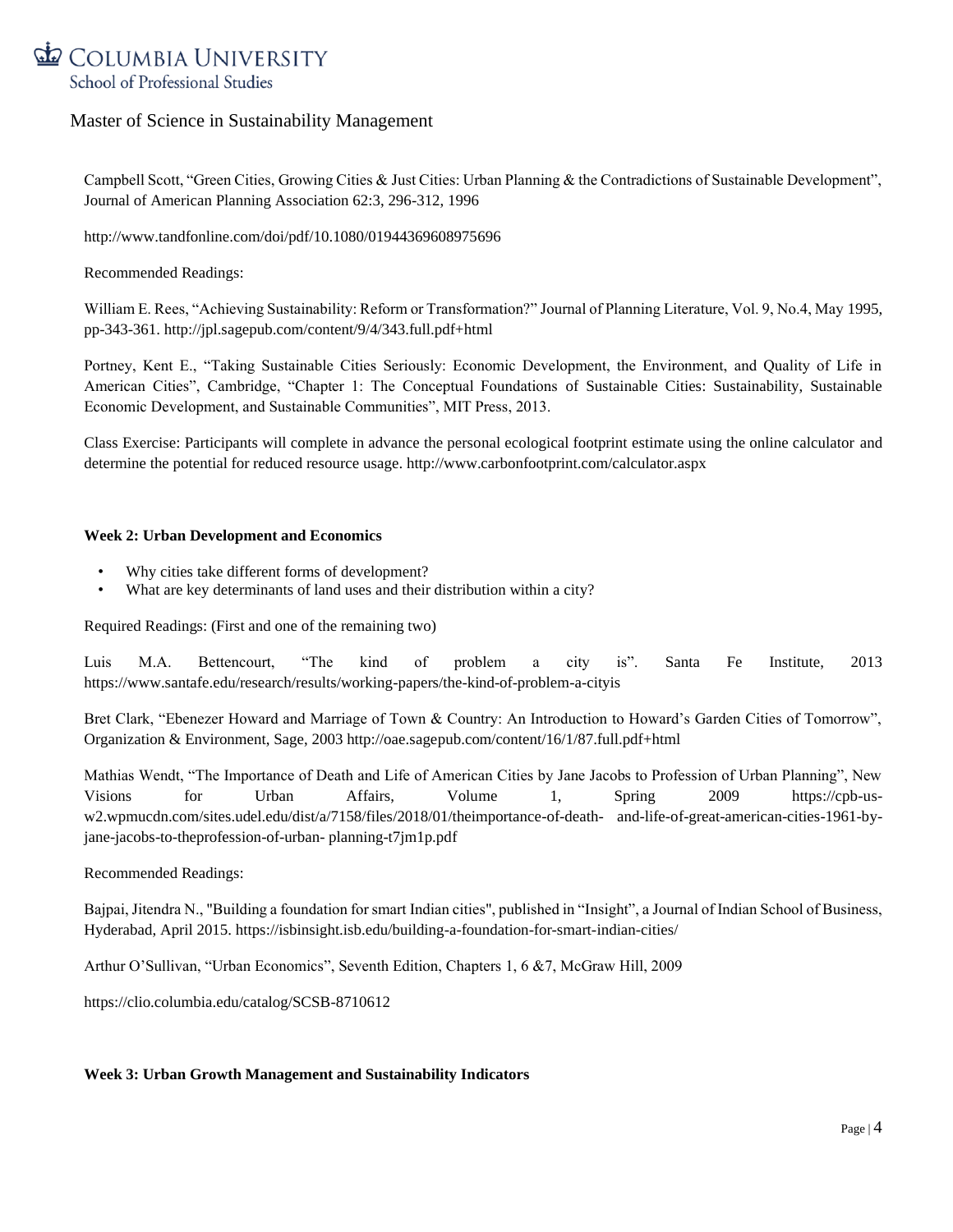# COLUMBIA UNIVERSITY School of Professional Studies

# Master of Science in Sustainability Management

Campbell Scott, "Green Cities, Growing Cities & Just Cities: Urban Planning & the Contradictions of Sustainable Development", Journal of American Planning Association 62:3, 296-312, 1996

http://www.tandfonline.com/doi/pdf/10.1080/01944369608975696

Recommended Readings:

William E. Rees, "Achieving Sustainability: Reform or Transformation?" Journal of Planning Literature, Vol. 9, No.4, May 1995, pp-343-361. http://jpl.sagepub.com/content/9/4/343.full.pdf+html

Portney, Kent E., "Taking Sustainable Cities Seriously: Economic Development, the Environment, and Quality of Life in American Cities", Cambridge, "Chapter 1: The Conceptual Foundations of Sustainable Cities: Sustainability, Sustainable Economic Development, and Sustainable Communities", MIT Press, 2013.

Class Exercise: Participants will complete in advance the personal ecological footprint estimate using the online calculator and determine the potential for reduced resource usage. http://www.carbonfootprint.com/calculator.aspx

#### **Week 2: Urban Development and Economics**

- Why cities take different forms of development?
- What are key determinants of land uses and their distribution within a city?

Required Readings: (First and one of the remaining two)

Luis M.A. Bettencourt, "The kind of problem a city is". Santa Fe Institute, 2013 https://www.santafe.edu/research/results/working-papers/the-kind-of-problem-a-cityis

Bret Clark, "Ebenezer Howard and Marriage of Town & Country: An Introduction to Howard's Garden Cities of Tomorrow", Organization & Environment, Sage, 2003 http://oae.sagepub.com/content/16/1/87.full.pdf+html

Mathias Wendt, "The Importance of Death and Life of American Cities by Jane Jacobs to Profession of Urban Planning", New Visions for Urban Affairs, Volume 1, Spring 2009 https://cpb-usw2.wpmucdn.com/sites.udel.edu/dist/a/7158/files/2018/01/theimportance-of-death- and-life-of-great-american-cities-1961-byjane-jacobs-to-theprofession-of-urban- planning-t7jm1p.pdf

Recommended Readings:

Bajpai, Jitendra N., "Building a foundation for smart Indian cities", published in "Insight", a Journal of Indian School of Business, Hyderabad, April 2015. https://isbinsight.isb.edu/building-a-foundation-for-smart-indian-cities/

Arthur O'Sullivan, "Urban Economics", Seventh Edition, Chapters 1, 6 &7, McGraw Hill, 2009

https://clio.columbia.edu/catalog/SCSB-8710612

### **Week 3: Urban Growth Management and Sustainability Indicators**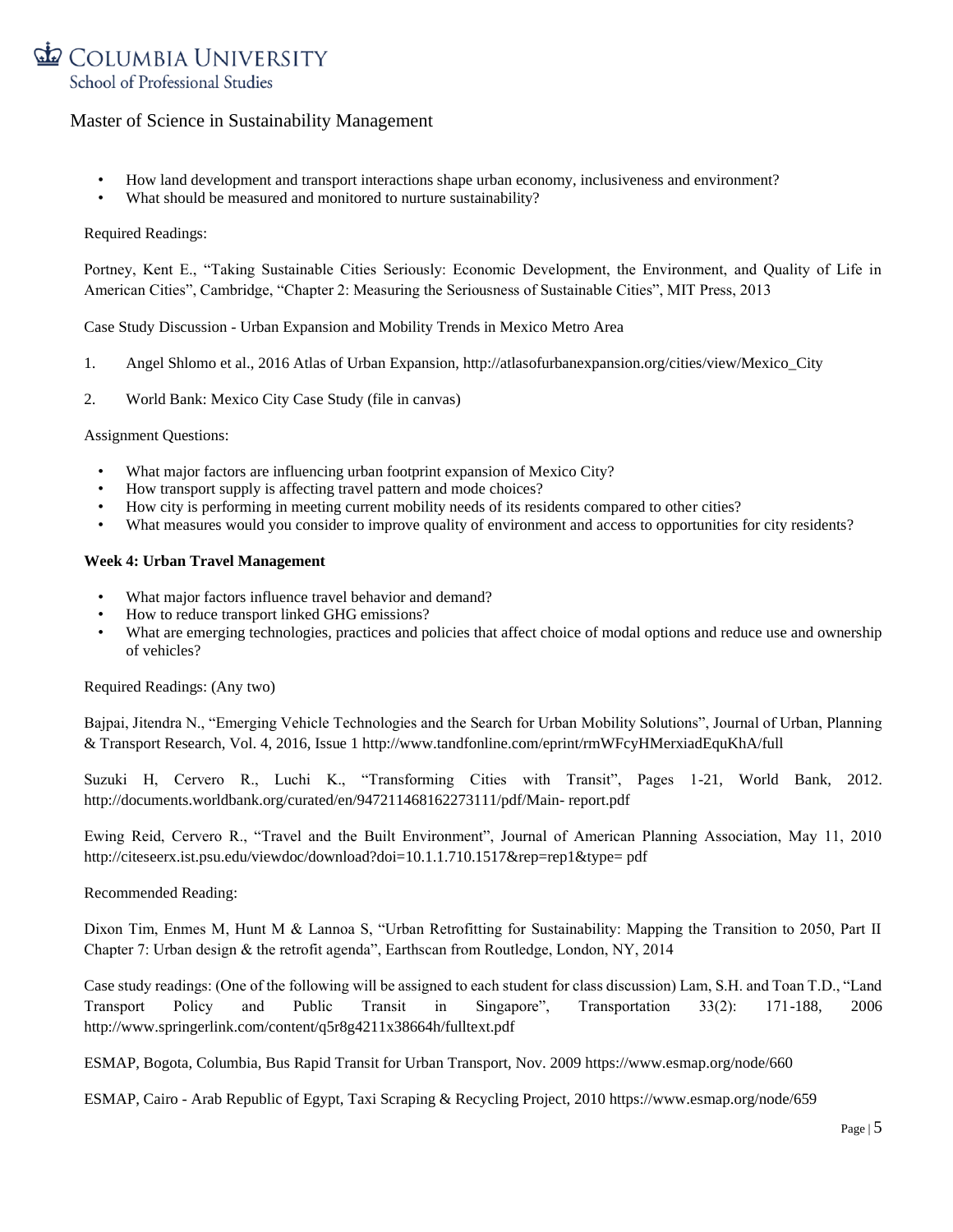

- How land development and transport interactions shape urban economy, inclusiveness and environment?
- What should be measured and monitored to nurture sustainability?

#### Required Readings:

Portney, Kent E., "Taking Sustainable Cities Seriously: Economic Development, the Environment, and Quality of Life in American Cities", Cambridge, "Chapter 2: Measuring the Seriousness of Sustainable Cities", MIT Press, 2013

Case Study Discussion - Urban Expansion and Mobility Trends in Mexico Metro Area

- 1. Angel Shlomo et al., 2016 Atlas of Urban Expansion, http://atlasofurbanexpansion.org/cities/view/Mexico\_City
- 2. World Bank: Mexico City Case Study (file in canvas)

Assignment Questions:

- What major factors are influencing urban footprint expansion of Mexico City?
- How transport supply is affecting travel pattern and mode choices?
- How city is performing in meeting current mobility needs of its residents compared to other cities?
- What measures would you consider to improve quality of environment and access to opportunities for city residents?

#### **Week 4: Urban Travel Management**

- What major factors influence travel behavior and demand?
- How to reduce transport linked GHG emissions?
- What are emerging technologies, practices and policies that affect choice of modal options and reduce use and ownership of vehicles?

Required Readings: (Any two)

Bajpai, Jitendra N., "Emerging Vehicle Technologies and the Search for Urban Mobility Solutions", Journal of Urban, Planning & Transport Research, Vol. 4, 2016, Issue 1 http://www.tandfonline.com/eprint/rmWFcyHMerxiadEquKhA/full

Suzuki H, Cervero R., Luchi K., "Transforming Cities with Transit", Pages 1-21, World Bank, 2012. http://documents.worldbank.org/curated/en/947211468162273111/pdf/Main- report.pdf

Ewing Reid, Cervero R., "Travel and the Built Environment", Journal of American Planning Association, May 11, 2010 http://citeseerx.ist.psu.edu/viewdoc/download?doi=10.1.1.710.1517&rep=rep1&type= pdf

#### Recommended Reading:

Dixon Tim, Enmes M, Hunt M & Lannoa S, "Urban Retrofitting for Sustainability: Mapping the Transition to 2050, Part II Chapter 7: Urban design & the retrofit agenda", Earthscan from Routledge, London, NY, 2014

Case study readings: (One of the following will be assigned to each student for class discussion) Lam, S.H. and Toan T.D., "Land Transport Policy and Public Transit in Singapore", Transportation 33(2): 171-188, 2006 http://www.springerlink.com/content/q5r8g4211x38664h/fulltext.pdf

ESMAP, Bogota, Columbia, Bus Rapid Transit for Urban Transport, Nov. 2009 https://www.esmap.org/node/660

ESMAP, Cairo - Arab Republic of Egypt, Taxi Scraping & Recycling Project, 2010 https://www.esmap.org/node/659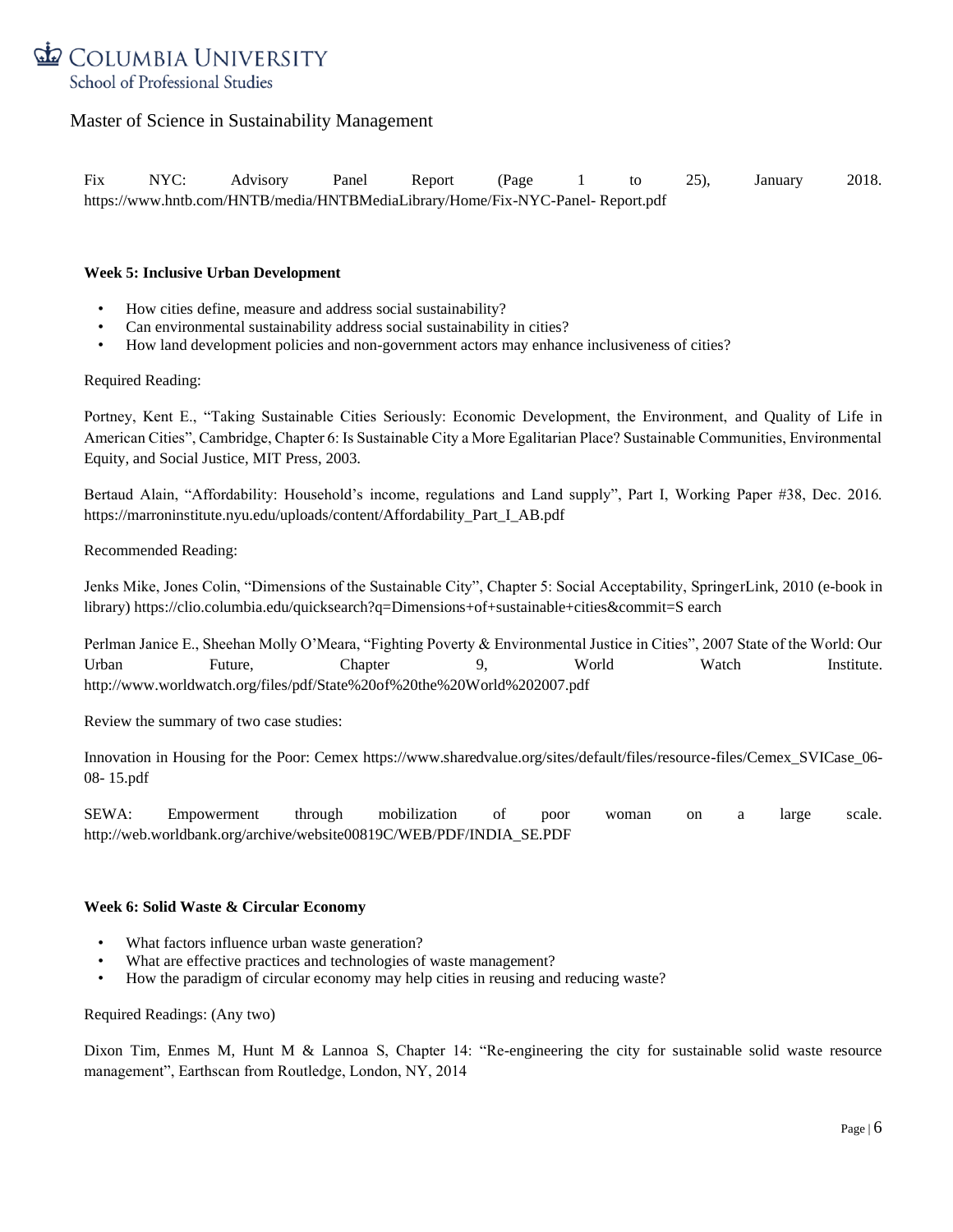

Fix NYC: Advisory Panel Report (Page 1 to 25), January 2018. https://www.hntb.com/HNTB/media/HNTBMediaLibrary/Home/Fix-NYC-Panel- Report.pdf

#### **Week 5: Inclusive Urban Development**

- How cities define, measure and address social sustainability?
- Can environmental sustainability address social sustainability in cities?
- How land development policies and non-government actors may enhance inclusiveness of cities?

#### Required Reading:

Portney, Kent E., "Taking Sustainable Cities Seriously: Economic Development, the Environment, and Quality of Life in American Cities", Cambridge, Chapter 6: Is Sustainable City a More Egalitarian Place? Sustainable Communities, Environmental Equity, and Social Justice, MIT Press, 2003.

Bertaud Alain, "Affordability: Household's income, regulations and Land supply", Part I, Working Paper #38, Dec. 2016. https://marroninstitute.nyu.edu/uploads/content/Affordability\_Part\_I\_AB.pdf

Recommended Reading:

Jenks Mike, Jones Colin, "Dimensions of the Sustainable City", Chapter 5: Social Acceptability, SpringerLink, 2010 (e-book in library) https://clio.columbia.edu/quicksearch?q=Dimensions+of+sustainable+cities&commit=S earch

Perlman Janice E., Sheehan Molly O'Meara, "Fighting Poverty & Environmental Justice in Cities", 2007 State of the World: Our Urban Future, Chapter 9, World Watch Institute. http://www.worldwatch.org/files/pdf/State%20of%20the%20World%202007.pdf

Review the summary of two case studies:

Innovation in Housing for the Poor: Cemex https://www.sharedvalue.org/sites/default/files/resource-files/Cemex\_SVICase\_06- 08- 15.pdf

SEWA: Empowerment through mobilization of poor woman on a large scale. http://web.worldbank.org/archive/website00819C/WEB/PDF/INDIA\_SE.PDF

### **Week 6: Solid Waste & Circular Economy**

- What factors influence urban waste generation?
- What are effective practices and technologies of waste management?
- How the paradigm of circular economy may help cities in reusing and reducing waste?

Required Readings: (Any two)

Dixon Tim, Enmes M, Hunt M & Lannoa S, Chapter 14: "Re-engineering the city for sustainable solid waste resource management", Earthscan from Routledge, London, NY, 2014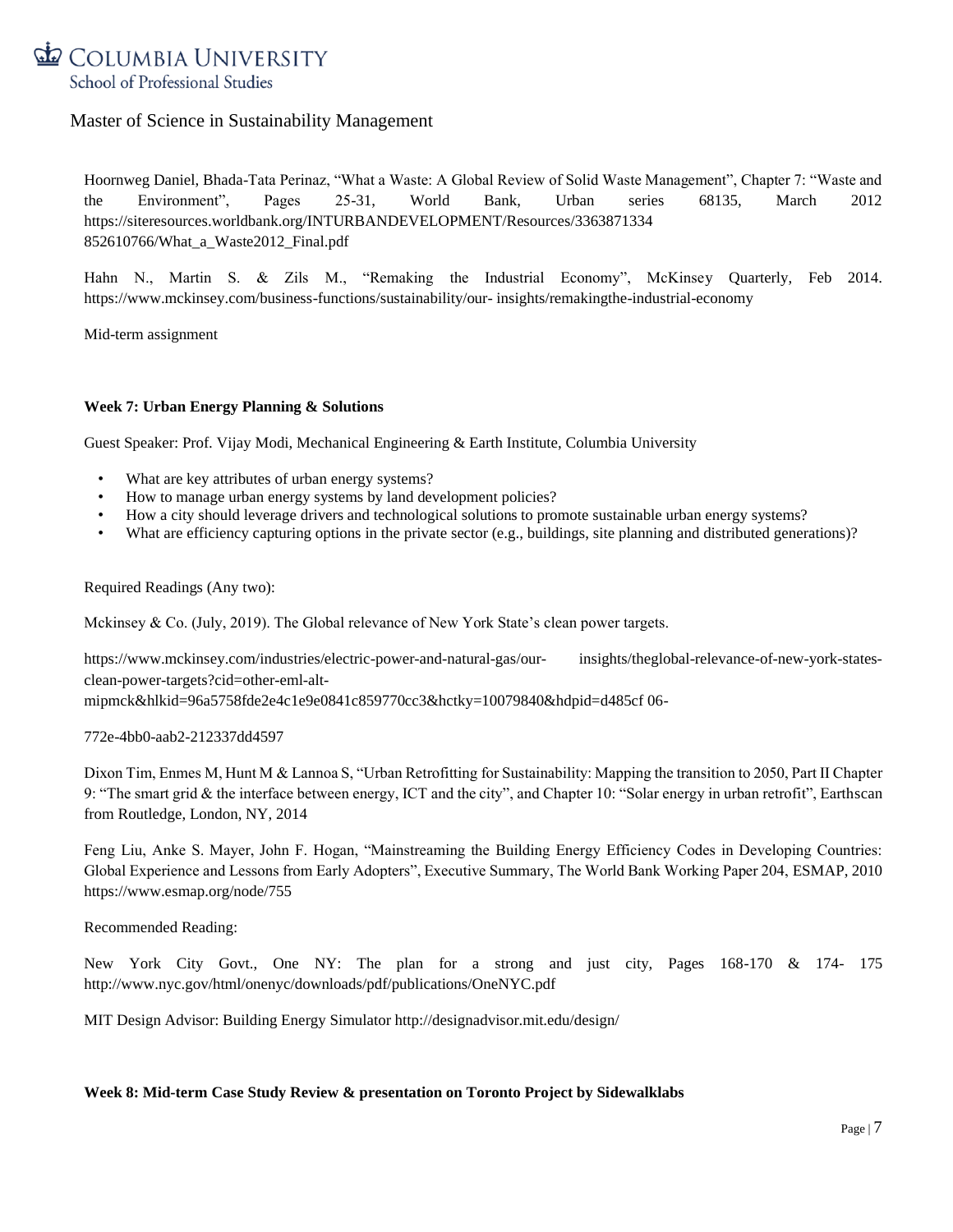

Hoornweg Daniel, Bhada-Tata Perinaz, "What a Waste: A Global Review of Solid Waste Management", Chapter 7: "Waste and the Environment", Pages 25-31, World Bank, Urban series 68135, March 2012 https://siteresources.worldbank.org/INTURBANDEVELOPMENT/Resources/3363871334 852610766/What\_a\_Waste2012\_Final.pdf

Hahn N., Martin S. & Zils M., "Remaking the Industrial Economy", McKinsey Quarterly, Feb 2014. https://www.mckinsey.com/business-functions/sustainability/our- insights/remakingthe-industrial-economy

Mid-term assignment

#### **Week 7: Urban Energy Planning & Solutions**

Guest Speaker: Prof. Vijay Modi, Mechanical Engineering & Earth Institute, Columbia University

- What are key attributes of urban energy systems?
- How to manage urban energy systems by land development policies?
- How a city should leverage drivers and technological solutions to promote sustainable urban energy systems?
- What are efficiency capturing options in the private sector (e.g., buildings, site planning and distributed generations)?

Required Readings (Any two):

Mckinsey & Co. (July, 2019). The Global relevance of New York State's clean power targets.

https://www.mckinsey.com/industries/electric-power-and-natural-gas/our- insights/theglobal-relevance-of-new-york-statesclean-power-targets?cid=other-eml-alt-

mipmck&hlkid=96a5758fde2e4c1e9e0841c859770cc3&hctky=10079840&hdpid=d485cf 06-

#### 772e-4bb0-aab2-212337dd4597

Dixon Tim, Enmes M, Hunt M & Lannoa S, "Urban Retrofitting for Sustainability: Mapping the transition to 2050, Part II Chapter 9: "The smart grid & the interface between energy, ICT and the city", and Chapter 10: "Solar energy in urban retrofit", Earthscan from Routledge, London, NY, 2014

Feng Liu, Anke S. Mayer, John F. Hogan, "Mainstreaming the Building Energy Efficiency Codes in Developing Countries: Global Experience and Lessons from Early Adopters", Executive Summary, The World Bank Working Paper 204, ESMAP, 2010 https://www.esmap.org/node/755

Recommended Reading:

New York City Govt., One NY: The plan for a strong and just city, Pages 168-170 & 174- 175 http://www.nyc.gov/html/onenyc/downloads/pdf/publications/OneNYC.pdf

MIT Design Advisor: Building Energy Simulator http://designadvisor.mit.edu/design/

#### **Week 8: Mid-term Case Study Review & presentation on Toronto Project by Sidewalklabs**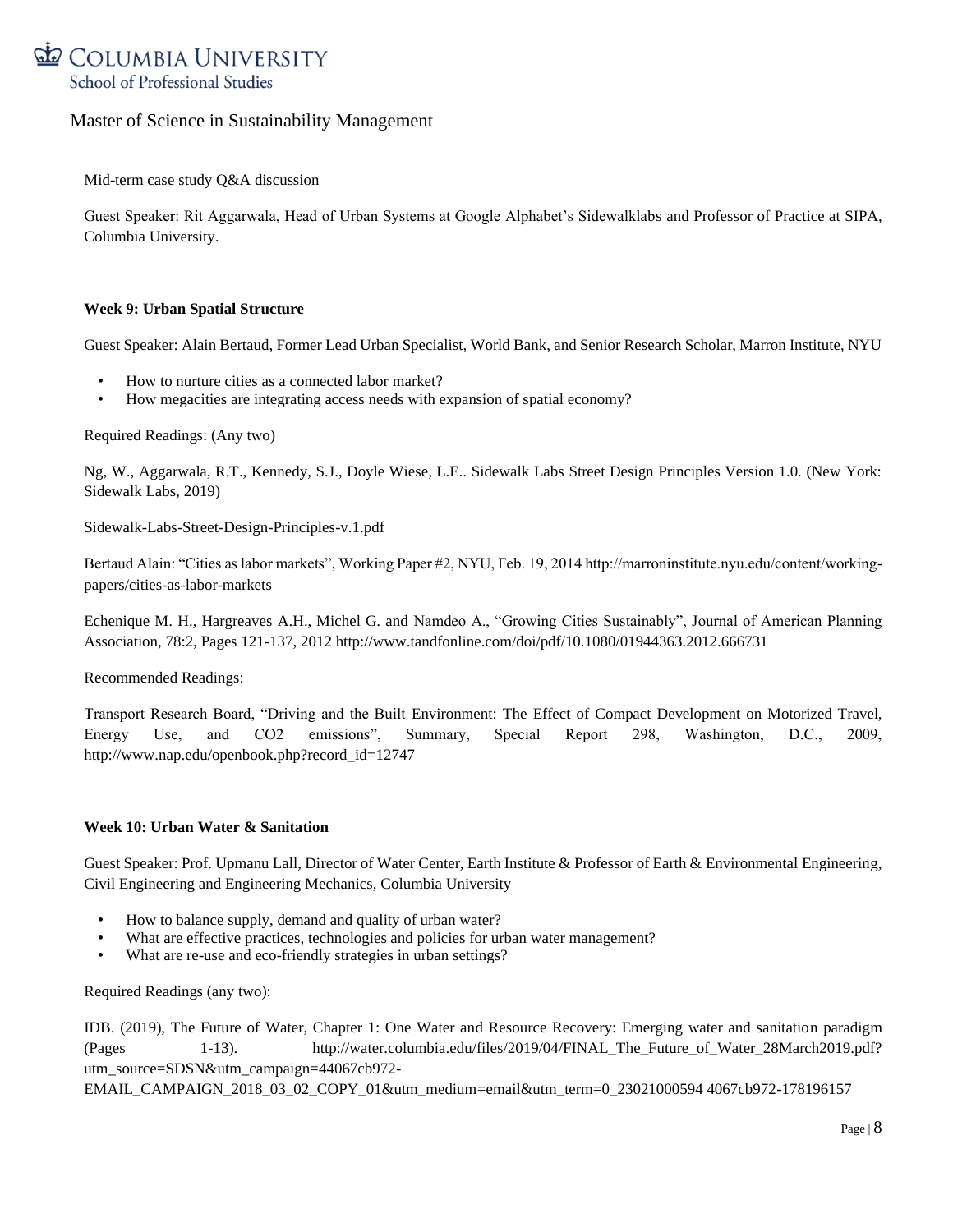

Mid-term case study Q&A discussion

Guest Speaker: Rit Aggarwala, Head of Urban Systems at Google Alphabet's Sidewalklabs and Professor of Practice at SIPA, Columbia University.

#### **Week 9: Urban Spatial Structure**

Guest Speaker: Alain Bertaud, Former Lead Urban Specialist, World Bank, and Senior Research Scholar, Marron Institute, NYU

- How to nurture cities as a connected labor market?
- How megacities are integrating access needs with expansion of spatial economy?

Required Readings: (Any two)

Ng, W., Aggarwala, R.T., Kennedy, S.J., Doyle Wiese, L.E.. Sidewalk Labs Street Design Principles Version 1.0. (New York: Sidewalk Labs, 2019)

Sidewalk-Labs-Street-Design-Principles-v.1.pdf

Bertaud Alain: "Cities as labor markets", Working Paper #2, NYU, Feb. 19, 2014 http://marroninstitute.nyu.edu/content/workingpapers/cities-as-labor-markets

Echenique M. H., Hargreaves A.H., Michel G. and Namdeo A., "Growing Cities Sustainably", Journal of American Planning Association, 78:2, Pages 121-137, 2012 http://www.tandfonline.com/doi/pdf/10.1080/01944363.2012.666731

Recommended Readings:

Transport Research Board, "Driving and the Built Environment: The Effect of Compact Development on Motorized Travel, Energy Use, and CO2 emissions", Summary, Special Report 298, Washington, D.C., 2009, http://www.nap.edu/openbook.php?record\_id=12747

### **Week 10: Urban Water & Sanitation**

Guest Speaker: Prof. Upmanu Lall, Director of Water Center, Earth Institute & Professor of Earth & Environmental Engineering, Civil Engineering and Engineering Mechanics, Columbia University

- How to balance supply, demand and quality of urban water?
- What are effective practices, technologies and policies for urban water management?
- What are re-use and eco-friendly strategies in urban settings?

Required Readings (any two):

IDB. (2019), The Future of Water, Chapter 1: One Water and Resource Recovery: Emerging water and sanitation paradigm (Pages 1-13). http://water.columbia.edu/files/2019/04/FINAL\_The\_Future\_of\_Water\_28March2019.pdf? utm\_source=SDSN&utm\_campaign=44067cb972-

EMAIL\_CAMPAIGN\_2018\_03\_02\_COPY\_01&utm\_medium=email&utm\_term=0\_23021000594 4067cb972-178196157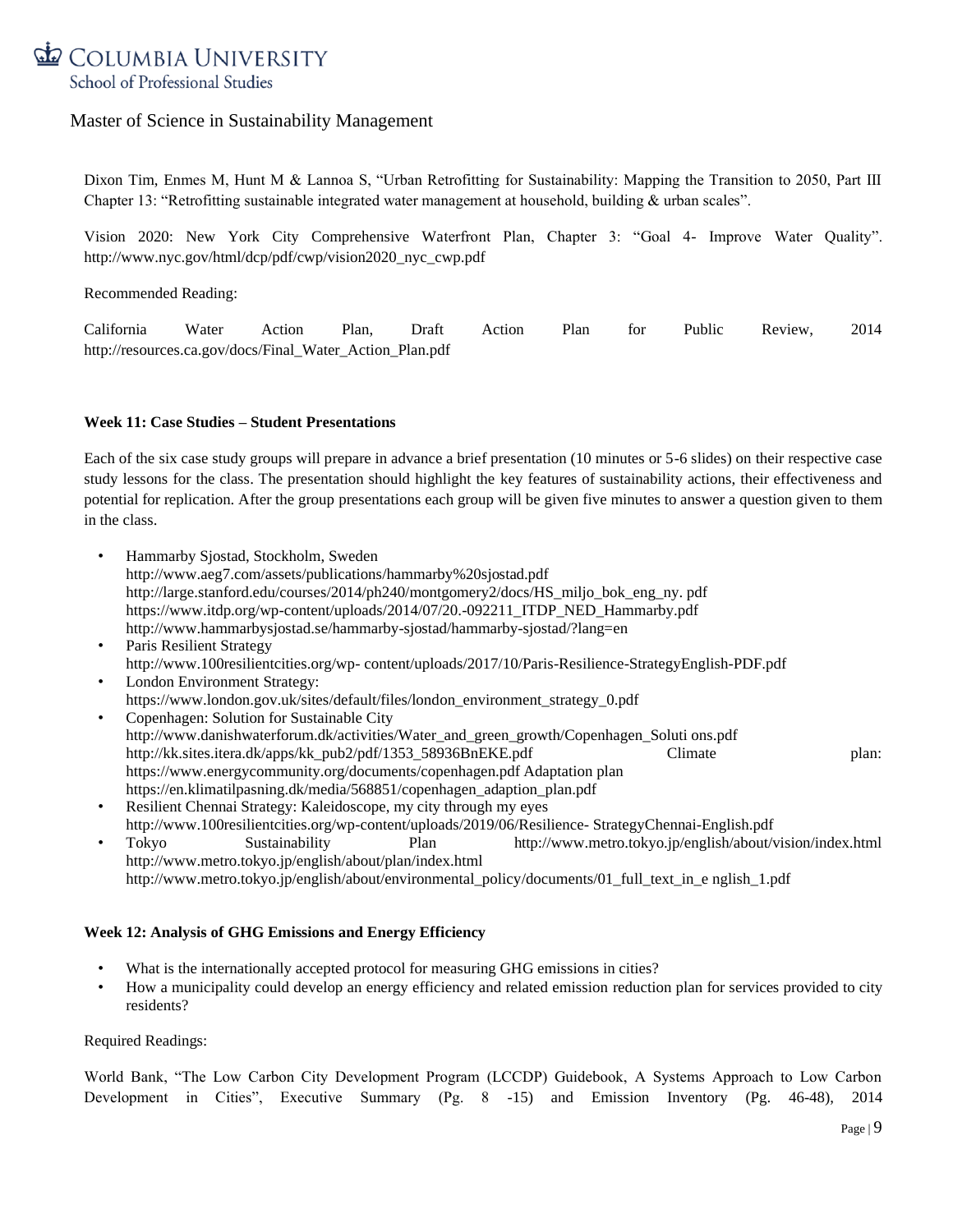

Dixon Tim, Enmes M, Hunt M & Lannoa S, "Urban Retrofitting for Sustainability: Mapping the Transition to 2050, Part III Chapter 13: "Retrofitting sustainable integrated water management at household, building & urban scales".

Vision 2020: New York City Comprehensive Waterfront Plan, Chapter 3: "Goal 4- Improve Water Quality". http://www.nyc.gov/html/dcp/pdf/cwp/vision2020\_nyc\_cwp.pdf

Recommended Reading:

California Water Action Plan, Draft Action Plan for Public Review, 2014 http://resources.ca.gov/docs/Final\_Water\_Action\_Plan.pdf

#### **Week 11: Case Studies – Student Presentations**

Each of the six case study groups will prepare in advance a brief presentation (10 minutes or 5-6 slides) on their respective case study lessons for the class. The presentation should highlight the key features of sustainability actions, their effectiveness and potential for replication. After the group presentations each group will be given five minutes to answer a question given to them in the class.

- Hammarby Sjostad, Stockholm, Sweden http://www.aeg7.com/assets/publications/hammarby%20sjostad.pdf http://large.stanford.edu/courses/2014/ph240/montgomery2/docs/HS\_miljo\_bok\_eng\_ny. pdf https://www.itdp.org/wp-content/uploads/2014/07/20.-092211\_ITDP\_NED\_Hammarby.pdf http://www.hammarbysjostad.se/hammarby-sjostad/hammarby-sjostad/?lang=en
- Paris Resilient Strategy http://www.100resilientcities.org/wp- content/uploads/2017/10/Paris-Resilience-StrategyEnglish-PDF.pdf London Environment Strategy:
- https://www.london.gov.uk/sites/default/files/london\_environment\_strategy\_0.pdf
- Copenhagen: Solution for Sustainable City http://www.danishwaterforum.dk/activities/Water\_and\_green\_growth/Copenhagen\_Soluti ons.pdf http://kk.sites.itera.dk/apps/kk\_pub2/pdf/1353\_58936BnEKE.pdf Climate plan: https://www.energycommunity.org/documents/copenhagen.pdf Adaptation plan https://en.klimatilpasning.dk/media/568851/copenhagen\_adaption\_plan.pdf
- Resilient Chennai Strategy: Kaleidoscope, my city through my eyes http://www.100resilientcities.org/wp-content/uploads/2019/06/Resilience- StrategyChennai-English.pdf • Tokyo Sustainability Plan http://www.metro.tokyo.jp/english/about/vision/index.html http://www.metro.tokyo.jp/english/about/plan/index.html
	- http://www.metro.tokyo.jp/english/about/environmental\_policy/documents/01\_full\_text\_in\_e nglish\_1.pdf

### **Week 12: Analysis of GHG Emissions and Energy Efficiency**

- What is the internationally accepted protocol for measuring GHG emissions in cities?
- How a municipality could develop an energy efficiency and related emission reduction plan for services provided to city residents?

#### Required Readings:

World Bank, "The Low Carbon City Development Program (LCCDP) Guidebook, A Systems Approach to Low Carbon Development in Cities", Executive Summary (Pg. 8 -15) and Emission Inventory (Pg. 46-48), 2014